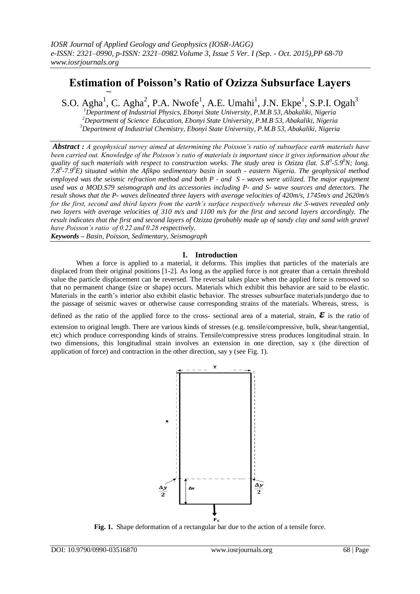# **Estimation of Poisson's Ratio of Ozizza Subsurface Layers**

S.O. Agha<sup>1</sup>, C. Agha<sup>2</sup>, P.A. Nwofe<sup>1</sup>, A.E. Umahi<sup>1</sup>, J.N. Ekpe<sup>1</sup>, S.P.I. Ogah<sup>3</sup> *Department of Industrial Physics, Ebonyi State University, P.M.B 53, Abakaliki, Nigeria Department of Science Education, Ebonyi State University, P.M.B 53, Abakaliki, Nigeria Department of Industrial Chemistry, Ebonyi State University, P.M.B 53, Abakaliki, Nigeria*

*Abstract : A geophysical survey aimed at determining the Poisson's ratio of subsurface earth materials have been carried out. Knowledge of the Poisson's ratio of materials is important since it gives information about the quality of such materials with respect to construction works. The study area is Ozizza (lat. 5.8<sup>0</sup> -5.9<sup>0</sup>N; long. 7.8<sup>0</sup> -7.9<sup>0</sup>E) situated within the Afikpo sedimentary basin in south - eastern Nigeria. The geophysical method employed was the seismic refraction method and both P - and S - waves were utilized. The major equipment used was a MOD.S79 seismograph and its accessories including P- and S- wave sources and detectors. The result shows that the P- waves delineated three layers with average velocities of 420m/s, 1745m/s and 2620m/s for the first, second and third layers from the earth's surface respectively whereas the S-waves revealed only two layers with average velocities of 310 m/s and 1100 m/s for the first and second layers accordingly. The result indicates that the first and second layers of Ozizza (probably made up of sandy clay and sand with gravel have Poisson's ratio of 0.22 and 0.28 respectively. Keywords – Basin, Poisson, Sedimentary, Seismograph*

**I. Introduction**

When a force is applied to a material, it deforms. This implies that particles of the materials are displaced from their original positions [1-2]. As long as the applied force is not greater than a certain threshold value the particle displacement can be reversed. The reversal takes place when the applied force is removed so that no permanent change (size or shape) occurs. Materials which exhibit this behavior are said to be elastic. Materials in the earth's interior also exhibit elastic behavior. The stresses subsurface materials undergo due to the passage of seismic waves or otherwise cause corresponding strains of the materials. Whereas, stress, is

defined as the ratio of the applied force to the cross- sectional area of a material, strain,  $\epsilon$  is the ratio of

extension to original length. There are various kinds of stresses (e.g. tensile/compressive, bulk, shear/tangential, etc) which produce corresponding kinds of strains. Tensile/compressive stress produces longitudinal strain. In two dimensions, this longitudinal strain involves an extension in one direction, say x (the direction of application of force) and contraction in the other direction, say y (see Fig. 1).



**Fig. 1.** Shape deformation of a rectangular bar due to the action of a tensile force.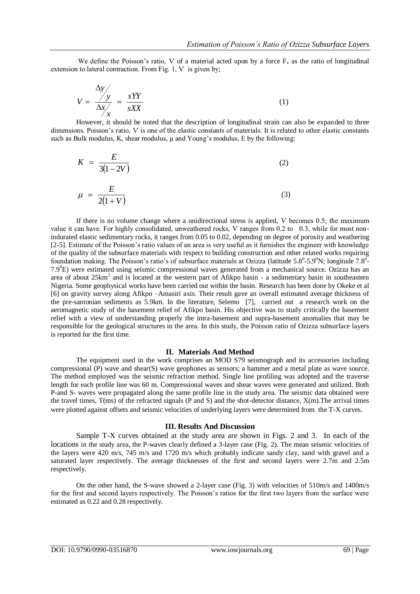We define the Poisson's ratio, V of a material acted upon by a force  $F<sub>x</sub>$  as the ratio of longitudinal extension to lateral contraction. From Fig. 1, V is given by:

$$
V = \frac{\Delta y}{\Delta x} = \frac{sYY}{sXX}
$$
 (1)

However, it should be noted that the description of longitudinal strain can also be expanded to three dimensions. Poisson's ratio, Ѵ is one of the elastic constants of materials. It is related to other elastic constants such as Bulk modulus, K, shear modulus, u and Young's modulus, E by the following:

$$
K = \frac{E}{3(1-2V)}\tag{2}
$$

$$
\mu = \frac{E}{2(1+V)}\tag{3}
$$

If there is no volume change where a unidirectional stress is applied, Ѵ becomes 0.5; the maximum value it can have. For highly consolidated, unweathered rocks, V ranges from 0.2 to 0.3, while for most nonindurated elastic sedimentary rocks, it ranges from 0.05 to 0.02, depending on degree of porosity and weathering [2-5]. Estimate of the Poisson's ratio values of an area is very useful as it furnishes the engineer with knowledge of the quality of the subsurface materials with respect to building construction and other related works requiring foundation making. The Poisson's ratio's of subsurface materials at Ozizza (latitude 5.8<sup>0</sup>-5.9<sup>0</sup>N; longitude 7.8<sup>0</sup>- $7.9^{\circ}$ E) were estimated using seismic compressional waves generated from a mechanical source. Ozizza has an area of about 25km<sup>2</sup> and is located at the western part of Afikpo basin - a sedimentary basin in southeastern Nigeria. Some geophysical works have been carried out within the basin. Research has been done by Okeke et al [6] on gravity survey along Afikpo –Amasiri axis. Their result gave an overall estimated average thickness of the pre-santonian sediments as 5.9km. In the literature, Selemo [7], carried out a research work on the aeromagnetic study of the basement relief of Afikpo basin. His objective was to study critically the basement relief with a view of understanding properly the intra-basement and supra-basement anomalies that may be responsible for the geological structures in the area. In this study, the Poisson ratio of Ozizza subsurface layers is reported for the first time.

#### **II. Materials And Method**

The equipment used in the work comprises an MOD S79 seismograph and its accessories including compressional (P) wave and shear(S) wave geophones as sensors; a hammer and a metal plate as wave source. The method employed was the seismic refraction method. Single line profiling was adopted and the traverse length for each profile line was 60 m. Compressional waves and shear waves were generated and utilized. Both P-and S- waves were propagated along the same profile line in the study area. The seismic data obtained were the travel times,  $T(ms)$  of the refracted signals (P and S) and the shot-detector distance,  $X(m)$ . The arrival times were plotted against offsets and seismic velocities of underlying layers were determined from the T-X curves.

### **III. Results And Discussion**

Sample T-X curves obtained at the study area are shown in Figs. 2 and 3. In each of the locations in the study area, the P-waves clearly defined a 3-layer case (Fig. 2). The mean seismic velocities of the layers were 420 m/s, 745 m/s and 1720 m/s which probably indicate sandy clay, sand with gravel and a saturated layer respectively. The average thicknesses of the first and second layers were 2.7m and 2.5m respectively.

On the other hand, the S-wave showed a 2-layer case (Fig. 3) with velocities of 510m/s and 1400m/s for the first and second layers respectively. The Poisson's ratios for the first two layers from the surface were estimated as 0.22 and 0.28 respectively.